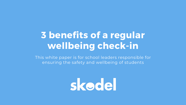## 3 benefits of a regular wellbeing check-in

This white paper is for school leaders responsible for ensuring the safety and wellbeing of students

skodel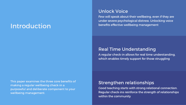## Introduction

This paper examines the three core benefits of making a regular wellbeing check-in a purposeful and deliberate component to your wellbeing management.

## Unlock Voice

Few will speak about their wellbeing, even if they are under severe psychological distress. Unlocking voice benefits effective wellbeing management

### Real Time Understanding

A regular check-in allows for real time understanding, which enables timely support for those struggling

### Strengthen relationships

Good teaching starts with strong relational connection. Regular check-ins reinforce the strength of relationships within the community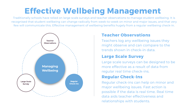## Effective Wellbeing Management

## Teacher Observations

Teachers log any wellbeing issues they might observe and can compare to the trends shown in check-in data.

## Large Scale Survey

Large scale surveys can be designed to be more effective as a result of data from regular real time check-ins.

### Regular Check-Ins

Regular check-ins can help on minor and major wellbeing issues. Fast action is possible if the data is real time. Real time data aids teacher effectiveness and relationships with students.

Traditionally schools have relied on large scale surveys and teacher observations to manage student wellbeing. It is recognised that student wellbeing can change radically from week-to-week on minor and major issues, and that very few will communicate this. Effective management of wellbeing benefits hugely from a regular wellbeing check-in.

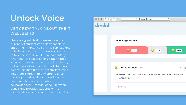There is a great deal of research on the number of students who don't speak up about their mental health. This can lead one to believe that most students do not want to talk about their wellbeing, particularly when they are experiencing tough times. However, it is not so much a lack of desire, but rather awkward and limited channels of communication that restrict student voice. Yes, there is great timidity among all to speak up but there is also a desire to be heard and to have our troubles acknowledged. A regular check-in, when done right, provides students with a comfortable environment to tell it how it is.

### VERY FEW TALK ABOUT THEIR **WELLBEING**

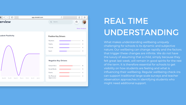### $\bullet$   $\left\langle \cdot \right\rangle$   $\Box$ Ô Ò ð a p p.s k o d el.c o m erview Ë  $Q$  Search... **Show Analysis** udent Positivitv **Positive Key Drivers** Teachers Family Friends Sport **Negative Key Drivers** School Work Social Media Exams My Physical Appearance Wed 10 Thu 11 Fri 12

# REAL TIME UNDERSTANDING

What makes understanding wellbeing uniquely challenging for schools is its dynamic and subjective nature. Our wellbeing can change rapidly and the factors that trigger these changes are infinite. We do not have the luxury of assuming that a child, simply because they felt great last week, will remain in good spirits for the rest of the term. It is therefore essential for schools to get visibility on how students are feeling and what is influencing their wellbeing. Regular wellbeing check-ins can support traditional large scale surveys and teacher observation approaches in identifying students who might need additional support.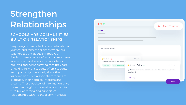Very rarely do we reflect on our educational journey and remember times where our teachers taught us the syllabus. Our fondest memories are often small moments where teachers have shown an interest in our lives and demonstrated that they care. Checking in with students offers students an opportunity to not only share their vulnerabilities, but also to share stories of gratitude, their hobbies, interests and dreams. These pockets of information drive more meaningful conversations, which in turn builds strong and supportive relationships within school communities.

|                                                     |                   | <b>Alert Teacher</b><br>ע                                              |
|-----------------------------------------------------|-------------------|------------------------------------------------------------------------|
|                                                     |                   |                                                                        |
|                                                     |                   |                                                                        |
|                                                     |                   |                                                                        |
|                                                     |                   |                                                                        |
|                                                     |                   |                                                                        |
|                                                     |                   |                                                                        |
| Type something here                                 |                   |                                                                        |
|                                                     |                   |                                                                        |
|                                                     |                   |                                                                        |
| Tom Smith V                                         | 1 day ago         |                                                                        |
| I am feeling a little down right now because of so- |                   |                                                                        |
| Social Media<br><b>My Physical Appearance</b>       | Jennifer Bailey ~ | 32 mins ago                                                            |
|                                                     | are all good!     | I just smashed my exams and I am going into the weekend now, so things |
|                                                     | + Add a Tag       |                                                                        |

### SCHOOLS ARE COMMUNITIES BUILT ON RELATIONSHIPS

## Strengthen Relationships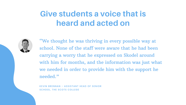## **Give students a voice that is heard and acted on**



KEVIN BRENNAN - ASSISTANT HEAD OF SENIOR SCHOOL, THE SCOTS COLLEGE

"We thought he was thriving in every possible way at school. None of the staff were aware that he had been carrying a worry that he expressed on Skodel around with him for months, and the information was just what we needed in order to provide him with the support he needed."